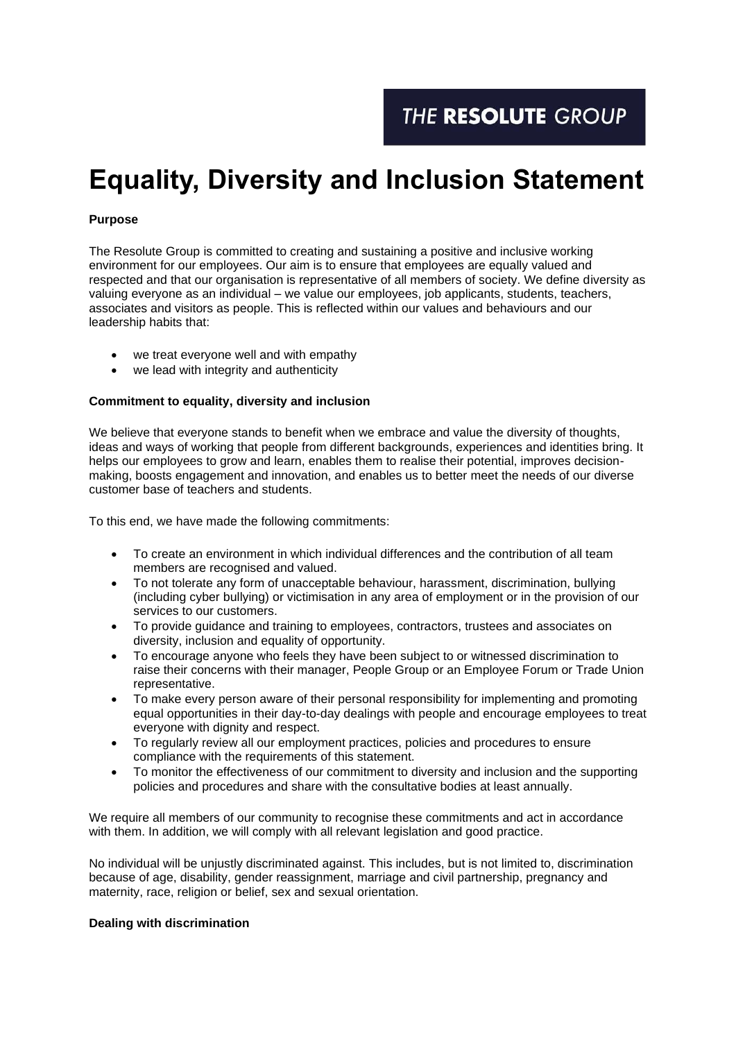# **Equality, Diversity and Inclusion Statement**

## **Purpose**

The Resolute Group is committed to creating and sustaining a positive and inclusive working environment for our employees. Our aim is to ensure that employees are equally valued and respected and that our organisation is representative of all members of society. We define diversity as valuing everyone as an individual – we value our employees, job applicants, students, teachers, associates and visitors as people. This is reflected within our values and behaviours and our leadership habits that:

- we treat everyone well and with empathy
- we lead with integrity and authenticity

## **Commitment to equality, diversity and inclusion**

We believe that everyone stands to benefit when we embrace and value the diversity of thoughts, ideas and ways of working that people from different backgrounds, experiences and identities bring. It helps our employees to grow and learn, enables them to realise their potential, improves decisionmaking, boosts engagement and innovation, and enables us to better meet the needs of our diverse customer base of teachers and students.

To this end, we have made the following commitments:

- To create an environment in which individual differences and the contribution of all team members are recognised and valued.
- To not tolerate any form of unacceptable behaviour, harassment, discrimination, bullying (including cyber bullying) or victimisation in any area of employment or in the provision of our services to our customers.
- To provide guidance and training to employees, contractors, trustees and associates on diversity, inclusion and equality of opportunity.
- To encourage anyone who feels they have been subject to or witnessed discrimination to raise their concerns with their manager, People Group or an Employee Forum or Trade Union representative.
- To make every person aware of their personal responsibility for implementing and promoting equal opportunities in their day-to-day dealings with people and encourage employees to treat everyone with dignity and respect.
- To regularly review all our employment practices, policies and procedures to ensure compliance with the requirements of this statement.
- To monitor the effectiveness of our commitment to diversity and inclusion and the supporting policies and procedures and share with the consultative bodies at least annually.

We require all members of our community to recognise these commitments and act in accordance with them. In addition, we will comply with all relevant legislation and good practice.

No individual will be unjustly discriminated against. This includes, but is not limited to, discrimination because of age, disability, gender reassignment, marriage and civil partnership, pregnancy and maternity, race, religion or belief, sex and sexual orientation.

#### **Dealing with discrimination**